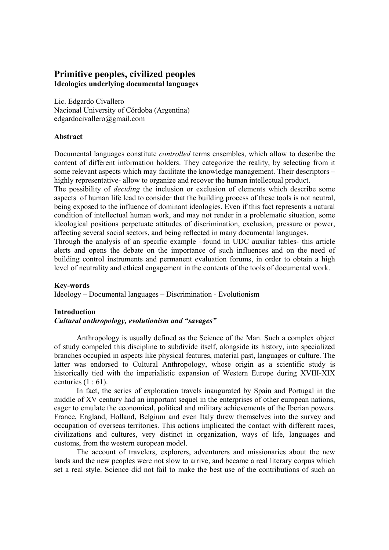# **Primitive peoples, civilized peoples Ideologies underlying documental languages**

Lic. Edgardo Civallero Nacional University of Córdoba (Argentina) edgardocivallero@gmail.com

### **Abstract**

Documental languages constitute *controlled* terms ensembles, which allow to describe the content of different information holders. They categorize the reality, by selecting from it some relevant aspects which may facilitate the knowledge management. Their descriptors – highly representative- allow to organize and recover the human intellectual product.

The possibility of *deciding* the inclusion or exclusion of elements which describe some aspects of human life lead to consider that the building process of these tools is not neutral, being exposed to the influence of dominant ideologies. Even if this fact represents a natural condition of intellectual human work, and may not render in a problematic situation, some ideological positions perpetuate attitudes of discrimination, exclusion, pressure or power, affecting several social sectors, and being reflected in many documental languages.

Through the analysis of an specific example –found in UDC auxiliar tables- this article alerts and opens the debate on the importance of such influences and on the need of building control instruments and permanent evaluation forums, in order to obtain a high level of neutrality and ethical engagement in the contents of the tools of documental work.

### **Key-words**

Ideology – Documental languages – Discrimination - Evolutionism

### **Introduction**

#### *Cultural anthropology, evolutionism and "savages"*

Anthropology is usually defined as the Science of the Man. Such a complex object of study compeled this discipline to subdivide itself, alongside its history, into specialized branches occupied in aspects like physical features, material past, languages or culture. The latter was endorsed to Cultural Anthropology, whose origin as a scientific study is historically tied with the imperialistic expansion of Western Europe during XVIII-XIX centuries  $(1:61)$ .

In fact, the series of exploration travels inaugurated by Spain and Portugal in the middle of XV century had an important sequel in the enterprises of other european nations, eager to emulate the economical, political and military achievements of the Iberian powers. France, England, Holland, Belgium and even Italy threw themselves into the survey and occupation of overseas territories. This actions implicated the contact with different races, civilizations and cultures, very distinct in organization, ways of life, languages and customs, from the western european model.

The account of travelers, explorers, adventurers and missionaries about the new lands and the new peoples were not slow to arrive, and became a real literary corpus which set a real style. Science did not fail to make the best use of the contributions of such an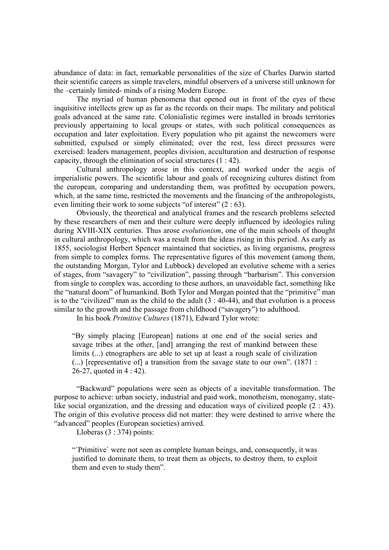abundance of data: in fact, remarkable personalities of the size of Charles Darwin started their scientific careers as simple travelers, mindful observers of a universe still unknown for the –certainly limited- minds of a rising Modern Europe.

The myriad of human phenomena that opened out in front of the eyes of these inquisitive intellects grew up as far as the records on their maps. The military and political goals advanced at the same rate. Colonialistic regimes were installed in broads territories previously appertaining to local groups or states, with such political consequences as occupation and later exploitation. Every population who pit against the newcomers were submitted, expulsed or simply eliminated; over the rest, less direct pressures were exercised: leaders management, peoples division, acculturation and destruction of response capacity, through the elimination of social structures (1 : 42).

Cultural anthropology arose in this context, and worked under the aegis of imperialistic powers. The scientific labour and goals of recognizing cultures distinct from the european, comparing and understanding them, was profitted by occupation powers, which, at the same time, restricted the movements and the financing of the anthropologists, even limiting their work to some subjects "of interest" (2 : 63).

Obviously, the theoretical and analytical frames and the research problems selected by these researchers of men and their culture were deeply influenced by ideologies ruling during XVIII-XIX centuries. Thus arose *evolutionism*, one of the main schools of thought in cultural anthropology, which was a result from the ideas rising in this period. As early as 1855, sociologist Herbert Spencer maintained that societies, as living organisms, progress from simple to complex forms. The representative figures of this movement (among them, the outstanding Morgan, Tylor and Lubbock) developed an evolutive scheme with a series of stages, from "savagery" to "civilization", passing through "barbarism". This conversion from single to complex was, according to these authors, an unavoidable fact, something like the "natural doom" of humankind. Both Tylor and Morgan pointed that the "primitive" man is to the "civilized" man as the child to the adult  $(3: 40-44)$ , and that evolution is a process similar to the growth and the passage from childhood ("savagery") to adulthood.

In his book *Primitive Cultures* (1871), Edward Tylor wrote:

"By simply placing [European] nations at one end of the social series and savage tribes at the other, [and] arranging the rest of mankind between these limits (...) etnographers are able to set up at least a rough scale of civilization (...) [representative of] a transition from the savage state to our own". (1871 : 26-27, quoted in 4 : 42).

 "Backward" populations were seen as objects of a inevitable transformation. The purpose to achieve: urban society, industrial and paid work, monotheism, monogamy, statelike social organization, and the dressing and education ways of civilized people (2 : 43). The origin of this evolutive process did not matter: they were destined to arrive where the "advanced" peoples (European societies) arrived.

Lloberas  $(3:374)$  points:

"´Primitive` were not seen as complete human beings, and, consequently, it was justified to dominate them, to treat them as objects, to destroy them, to exploit them and even to study them".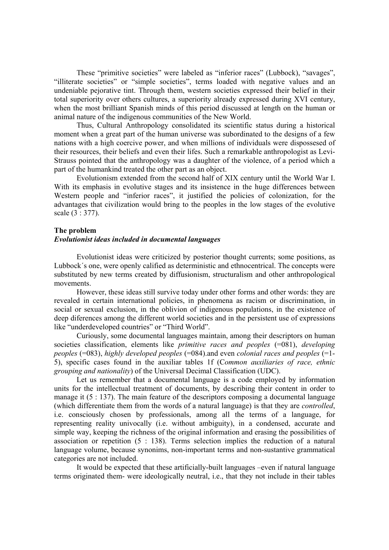These "primitive societies" were labeled as "inferior races" (Lubbock), "savages", "illiterate societies" or "simple societies", terms loaded with negative values and an undeniable pejorative tint. Through them, western societies expressed their belief in their total superiority over others cultures, a superiority already expressed during XVI century, when the most brilliant Spanish minds of this period discussed at length on the human or animal nature of the indigenous communities of the New World.

 Thus, Cultural Anthropology consolidated its scientific status during a historical moment when a great part of the human universe was subordinated to the designs of a few nations with a high coercive power, and when millions of individuals were dispossesed of their resources, their beliefs and even their lifes. Such a remarkable anthropologist as Levi-Strauss pointed that the anthropology was a daughter of the violence, of a period which a part of the humankind treated the other part as an object.

 Evolutionism extended from the second half of XIX century until the World War I. With its emphasis in evolutive stages and its insistence in the huge differences between Western people and "inferior races", it justified the policies of colonization, for the advantages that civilization would bring to the peoples in the low stages of the evolutive scale (3 : 377).

#### **The problem**

### *Evolutionist ideas included in documental languages*

Evolutionist ideas were criticized by posterior thought currents; some positions, as Lubbock´s one, were openly calified as deterministic and ethnocentrical. The concepts were substituted by new terms created by diffusionism, structuralism and other anthropological movements.

However, these ideas still survive today under other forms and other words: they are revealed in certain international policies, in phenomena as racism or discrimination, in social or sexual exclusion, in the oblivion of indigenous populations, in the existence of deep diferences among the different world societies and in the persistent use of expressions like "underdeveloped countries" or "Third World".

Curiously, some documental languages maintain, among their descriptors on human societies classification, elements like *primitive races and peoples* (=081), *developing peoples* (=083), *highly developed peoples* (=084).and even *colonial races and peoples* (=1- 5), specific cases found in the auxiliar tables 1f (C*ommon auxiliaries of race, ethnic grouping and nationality*) of the Universal Decimal Classification (UDC).

Let us remember that a documental language is a code employed by information units for the intellectual treatment of documents, by describing their content in order to manage it (5 : 137). The main feature of the descriptors composing a documental language (which differentiate them from the words of a natural language) is that they are *controlled*, i.e. consciously chosen by professionals, among all the terms of a language, for representing reality univocally (i.e. without ambiguity), in a condensed, accurate and simple way, keeping the richness of the original information and erasing the possibilities of association or repetition (5 : 138). Terms selection implies the reduction of a natural language volume, because synonims, non-important terms and non-sustantive grammatical categories are not included.

It would be expected that these artificially-built languages –even if natural language terms originated them- were ideologically neutral, i.e., that they not include in their tables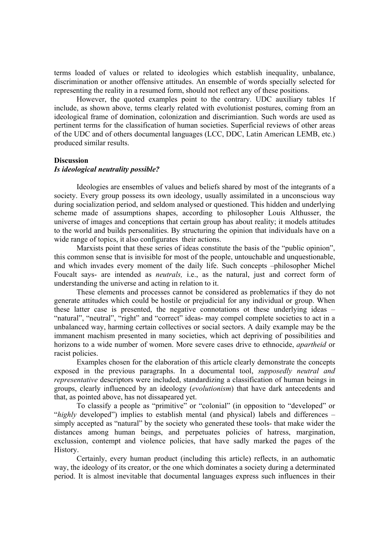terms loaded of values or related to ideologies which establish inequality, unbalance, discrimination or another offensive attitudes. An ensemble of words specially selected for representing the reality in a resumed form, should not reflect any of these positions.

However, the quoted examples point to the contrary. UDC auxiliary tables 1f include, as shown above, terms clearly related with evolutionist postures, coming from an ideological frame of domination, colonization and discrimiantion. Such words are used as pertinent terms for the classification of human societies. Superficial reviews of other areas of the UDC and of others documental languages (LCC, DDC, Latin American LEMB, etc.) produced similar results.

### **Discussion**

### *Is ideological neutrality possible?*

 Ideologies are ensembles of values and beliefs shared by most of the integrants of a society. Every group possess its own ideology, usually assimilated in a unconscious way during socialization period, and seldom analysed or questioned. This hidden and underlying scheme made of assumptions shapes, according to philosopher Louis Althusser, the universe of images and conceptions that certain group has about reality; it models attitudes to the world and builds personalities. By structuring the opinion that individuals have on a wide range of topics, it also configurates their actions.

 Marxists point that these series of ideas constitute the basis of the "public opinion", this common sense that is invisible for most of the people, untouchable and unquestionable, and which invades every moment of the daily life. Such concepts –philosopher Michel Foucalt says- are intended as *neutrals,* i.e., as the natural, just and correct form of understanding the universe and acting in relation to it.

 These elements and processes cannot be considered as problematics if they do not generate attitudes which could be hostile or prejudicial for any individual or group. When these latter case is presented, the negative connotations ot these underlying ideas – "natural", "neutral", "right" and "correct" ideas- may compel complete societies to act in a unbalanced way, harming certain collectives or social sectors. A daily example may be the immanent machism presented in many societies, which act depriving of possibilities and horizons to a wide number of women. More severe cases drive to ethnocide, *apartheid* or racist policies.

 Examples chosen for the elaboration of this article clearly demonstrate the concepts exposed in the previous paragraphs. In a documental tool, *supposedly neutral and representative* descriptors were included, standardizing a classification of human beings in groups, clearly influenced by an ideology (*evolutionism*) that have dark antecedents and that, as pointed above, has not dissapeared yet.

To classify a people as "primitive" or "colonial" (in opposition to "developed" or "*highly* developed") implies to establish mental (and physical) labels and differences – simply accepted as "natural" by the society who generated these tools- that make wider the distances among human beings, and perpetuates policies of hatress, margination, exclussion, contempt and violence policies, that have sadly marked the pages of the History.

Certainly, every human product (including this article) reflects, in an authomatic way, the ideology of its creator, or the one which dominates a society during a determinated period. It is almost inevitable that documental languages express such influences in their